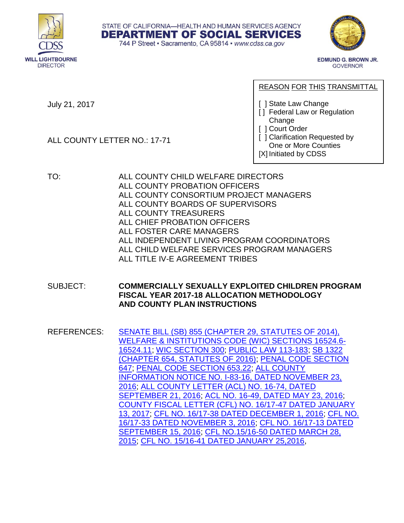





**EDMUND G. BROWN JR. GOVERNOR** 

REASON FOR THIS TRANSMITTAL

July 21, 2017

ALL COUNTY LETTER NO.: 17-71

Change [ ] Court Order

[ ] State Law Change

[ ] Clarification Requested by One or More Counties

[] Federal Law or Regulation

[X] Initiated by CDSS

TO: ALL COUNTY CHILD WELFARE DIRECTORS ALL COUNTY PROBATION OFFICERS ALL COUNTY CONSORTIUM PROJECT MANAGERS ALL COUNTY BOARDS OF SUPERVISORS ALL COUNTY TREASURERS ALL CHIEF PROBATION OFFICERS ALL FOSTER CARE MANAGERS ALL INDEPENDENT LIVING PROGRAM COORDINATORS ALL CHILD WELFARE SERVICES PROGRAM MANAGERS ALL TITLE IV-E AGREEMENT TRIBES

SUBJECT: **COMMERCIALLY SEXUALLY EXPLOITED CHILDREN PROGRAM FISCAL YEAR 2017-18 ALLOCATION METHODOLOGY AND COUNTY PLAN INSTRUCTIONS**

REFERENCES: [SENATE BILL \(SB\) 855 \(CHAPTER 29, STATUTES OF 2014\),](http://leginfo.legislature.ca.gov/faces/billNavClient.xhtml?bill_id=201320140SB855) [WELFARE & INSTITUTIONS CODE \(WIC\) SECTIONS 16524.6-](http://leginfo.legislature.ca.gov/faces/codes_displaySection.xhtml?sectionNum=16524.6.&lawCode=WIC) [16524.11;](http://leginfo.legislature.ca.gov/faces/codes_displaySection.xhtml?sectionNum=16524.6.&lawCode=WIC) WIC [SECTION 300;](http://leginfo.legislature.ca.gov/faces/codes_displaySection.xhtml?sectionNum=300&lawCode=WIC) [PUBLIC LAW](https://www.congress.gov/113/plaws/publ183/PLAW-113publ183.pdf) 113-183; [SB 1322](http://leginfo.legislature.ca.gov/faces/billNavClient.xhtml?bill_id=201520160SB1322) (CHAPTER 654, STATUTES OF 2016); [PENAL CODE SECTION](http://leginfo.legislature.ca.gov/faces/codes_displaySection.xhtml?lawCode=PEN§ionNum=647)  [647;](http://leginfo.legislature.ca.gov/faces/codes_displaySection.xhtml?lawCode=PEN§ionNum=647) PENAL CODE [SECTION 653.22;](http://leginfo.legislature.ca.gov/faces/codes_displaySection.xhtml?sectionNum=653.22.&lawCode=PEN) [ALL COUNTY](http://www.cdss.ca.gov/lettersnotices/EntRes/getinfo/acin/2016/I-83_16.pdf)  [INFORMATION NOTICE NO. I-83-16, DATED NOVEMBER 23,](http://www.cdss.ca.gov/lettersnotices/EntRes/getinfo/acin/2016/I-83_16.pdf)  [2016;](http://www.cdss.ca.gov/lettersnotices/EntRes/getinfo/acin/2016/I-83_16.pdf) [ALL COUNTY LETTER \(ACL\) NO. 16-74, DATED](http://www.cdss.ca.gov/lettersnotices/EntRes/getinfo/acl/2016/16-74.pdf)  [SEPTEMBER 21, 2016](http://www.cdss.ca.gov/lettersnotices/EntRes/getinfo/acl/2016/16-74.pdf); [ACL NO. 16-49, DATED MAY 23, 2016](http://www.cdss.ca.gov/lettersnotices/EntRes/getinfo/acl/2016/16-49.pdf); [COUNTY FISCAL LETTER \(CFL\) NO. 16/17-47 DATED JANUARY](http://www.cdss.ca.gov/lettersnotices/EntRes/getinfo/cfl/2016-17/16-17_47.pdf)  [13, 2017;](http://www.cdss.ca.gov/lettersnotices/EntRes/getinfo/cfl/2016-17/16-17_47.pdf) [CFL NO. 16/17-38 DATED DECEMBER 1, 2016;](http://www.cdss.ca.gov/lettersnotices/EntRes/getinfo/cfl/2016-17/16-17_38.pdf) [CFL NO.](http://www.cdss.ca.gov/lettersnotices/EntRes/getinfo/cfl/2016-17/16-17_33.pdf)  [16/17-33 DATED NOVEMBER 3, 2016;](http://www.cdss.ca.gov/lettersnotices/EntRes/getinfo/cfl/2016-17/16-17_33.pdf) [CFL NO. 16/17-13 DATED](http://www.cdss.ca.gov/lettersnotices/EntRes/getinfo/cfl/2016-17/16-17_13.pdf)  [SEPTEMBER 15, 2016;](http://www.cdss.ca.gov/lettersnotices/EntRes/getinfo/cfl/2016-17/16-17_13.pdf) [CFL NO.15/16-50 DATED MARCH 28,](http://www.cdss.ca.gov/lettersnotices/EntRes/getinfo/cfl/2015-16/15-16_50.pdf)  [2015;](http://www.cdss.ca.gov/lettersnotices/EntRes/getinfo/cfl/2015-16/15-16_50.pdf) [CFL NO. 15/16-41 DATED JANUARY 25,2016,](http://www.cdss.ca.gov/lettersnotices/EntRes/getinfo/cfl/2015-16/15-16_41.pdf)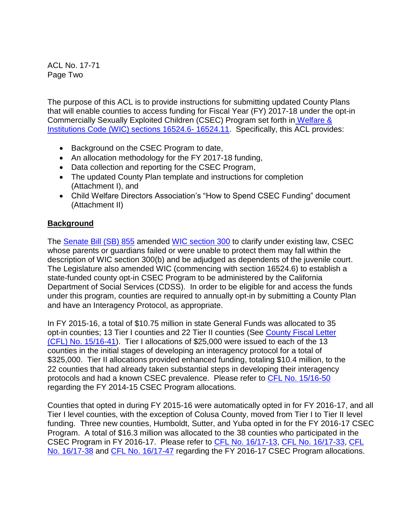ACL No. 17-71 Page Two

The purpose of this ACL is to provide instructions for submitting updated County Plans that will enable counties to access funding for Fiscal Year (FY) 2017-18 under the opt-in Commercially Sexually Exploited Children (CSEC) Program set forth in [Welfare &](http://leginfo.legislature.ca.gov/faces/codes_displaySection.xhtml?sectionNum=16524.6.&lawCode=WIC)  [Institutions Code \(WIC\) sections 16524.6-](http://leginfo.legislature.ca.gov/faces/codes_displaySection.xhtml?sectionNum=16524.6.&lawCode=WIC) 16524.11. Specifically, this ACL provides:

- Background on the CSEC Program to date,
- An allocation methodology for the FY 2017-18 funding,
- Data collection and reporting for the CSEC Program,
- The updated County Plan template and instructions for completion (Attachment I), and
- Child Welfare Directors Association's "How to Spend CSEC Funding" document (Attachment II)

# **Background**

The [Senate Bill \(SB\) 855](http://leginfo.legislature.ca.gov/faces/billNavClient.xhtml?bill_id=201320140SB855) amended [WIC section 300](http://leginfo.legislature.ca.gov/faces/codes_displaySection.xhtml?sectionNum=300&lawCode=WIC) to clarify under existing law, CSEC whose parents or guardians failed or were unable to protect them may fall within the description of WIC section 300(b) and be adjudged as dependents of the juvenile court. The Legislature also amended WIC (commencing with section 16524.6) to establish a state-funded county opt-in CSEC Program to be administered by the California Department of Social Services (CDSS). In order to be eligible for and access the funds under this program, counties are required to annually opt-in by submitting a County Plan and have an Interagency Protocol, as appropriate.

In FY 2015-16, a total of \$10.75 million in state General Funds was allocated to 35 opt-in counties; 13 Tier I counties and 22 Tier II counties (See [County Fiscal Letter](http://www.cdss.ca.gov/lettersnotices/EntRes/getinfo/cfl/2015-16/15-16_41.pdf)  [\(CFL\) No. 15/16-41\)](http://www.cdss.ca.gov/lettersnotices/EntRes/getinfo/cfl/2015-16/15-16_41.pdf). Tier I allocations of \$25,000 were issued to each of the 13 counties in the initial stages of developing an interagency protocol for a total of \$325,000. Tier II allocations provided enhanced funding, totaling \$10.4 million, to the 22 counties that had already taken substantial steps in developing their interagency protocols and had a known CSEC prevalence. Please refer to CFL [No. 15/16-50](http://www.cdss.ca.gov/lettersnotices/EntRes/getinfo/cfl/2015-16/15-16_50.pdf) regarding the FY 2014-15 CSEC Program allocations.

Counties that opted in during FY 2015-16 were automatically opted in for FY 2016-17, and all Tier I level counties, with the exception of Colusa County, moved from Tier I to Tier II level funding. Three new counties, Humboldt, Sutter, and Yuba opted in for the FY 2016-17 CSEC Program. A total of \$16.3 million was allocated to the 38 counties who participated in the CSEC Program in FY 2016-17. Please refer to [CFL No. 16/17-13,](http://www.cdss.ca.gov/lettersnotices/EntRes/getinfo/cfl/2016-17/16-17_13.pdf) [CFL No. 16/17-33,](http://www.cdss.ca.gov/lettersnotices/EntRes/getinfo/cfl/2016-17/16-17_33.pdf) [CFL](http://www.cdss.ca.gov/lettersnotices/EntRes/getinfo/cfl/2016-17/16-17_38.pdf)  [No. 16/17-38](http://www.cdss.ca.gov/lettersnotices/EntRes/getinfo/cfl/2016-17/16-17_38.pdf) and [CFL No. 16/17-47](http://www.cdss.ca.gov/lettersnotices/EntRes/getinfo/cfl/2016-17/16-17_47.pdf) regarding the FY 2016-17 CSEC Program allocations.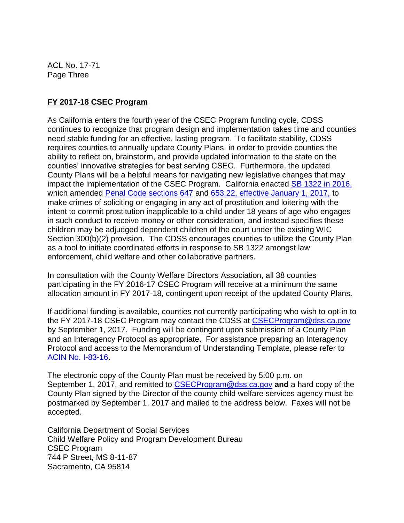ACL No. 17-71 Page Three

#### **FY 2017-18 CSEC Program**

As California enters the fourth year of the CSEC Program funding cycle, CDSS continues to recognize that program design and implementation takes time and counties need stable funding for an effective, lasting program. To facilitate stability, CDSS requires counties to annually update County Plans, in order to provide counties the ability to reflect on, brainstorm, and provide updated information to the state on the counties' innovative strategies for best serving CSEC. Furthermore, the updated County Plans will be a helpful means for navigating new legislative changes that may impact the implementation of the CSEC Program. California enacted [SB 1322 in 2016,](http://leginfo.legislature.ca.gov/faces/billNavClient.xhtml?bill_id=201520160SB1322) which amended [Penal Code sections 647](http://leginfo.legislature.ca.gov/faces/codes_displaySection.xhtml?lawCode=PEN§ionNum=647) and [653.22, effective January 1, 2017,](http://leginfo.legislature.ca.gov/faces/codes_displaySection.xhtml?sectionNum=653.22.&lawCode=PEN) to make crimes of soliciting or engaging in any act of prostitution and loitering with the intent to commit prostitution inapplicable to a child under 18 years of age who engages in such conduct to receive money or other consideration, and instead specifies these children may be adjudged dependent children of the court under the existing WIC Section 300(b)(2) provision. The CDSS encourages counties to utilize the County Plan as a tool to initiate coordinated efforts in response to SB 1322 amongst law enforcement, child welfare and other collaborative partners.

In consultation with the County Welfare Directors Association, all 38 counties participating in the FY 2016-17 CSEC Program will receive at a minimum the same allocation amount in FY 2017-18, contingent upon receipt of the updated County Plans.

If additional funding is available, counties not currently participating who wish to opt-in to the FY 2017-18 CSEC Program may contact the CDSS at [CSECProgram@dss.ca.gov](mailto:CSECProgram@dss.ca.gov) by September 1, 2017. Funding will be contingent upon submission of a County Plan and an Interagency Protocol as appropriate. For assistance preparing an Interagency Protocol and access to the Memorandum of Understanding Template, please refer to ACIN [No. I-83-16.](http://www.cdss.ca.gov/lettersnotices/EntRes/getinfo/acin/2016/I-83_16.pdf)

The electronic copy of the County Plan must be received by 5:00 p.m. on September 1, 2017, and remitted to [CSECProgram@dss.ca.gov](mailto:CSECProgram@dss.ca.gov) **and** a hard copy of the County Plan signed by the Director of the county child welfare services agency must be postmarked by September 1, 2017 and mailed to the address below. Faxes will not be accepted.

California Department of Social Services Child Welfare Policy and Program Development Bureau CSEC Program 744 P Street, MS 8-11-87 Sacramento, CA 95814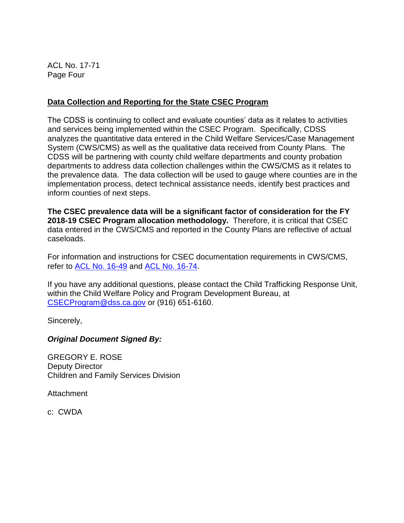ACL No. 17-71 Page Four

#### **Data Collection and Reporting for the State CSEC Program**

The CDSS is continuing to collect and evaluate counties' data as it relates to activities and services being implemented within the CSEC Program. Specifically, CDSS analyzes the quantitative data entered in the Child Welfare Services/Case Management System (CWS/CMS) as well as the qualitative data received from County Plans. The CDSS will be partnering with county child welfare departments and county probation departments to address data collection challenges within the CWS/CMS as it relates to the prevalence data. The data collection will be used to gauge where counties are in the implementation process, detect technical assistance needs, identify best practices and inform counties of next steps.

**The CSEC prevalence data will be a significant factor of consideration for the FY 2018-19 CSEC Program allocation methodology.** Therefore, it is critical that CSEC data entered in the CWS/CMS and reported in the County Plans are reflective of actual caseloads.

For information and instructions for CSEC documentation requirements in CWS/CMS, refer to [ACL No. 16-49](http://www.cdss.ca.gov/lettersnotices/EntRes/getinfo/acl/2016/16-49.pdf) and [ACL No. 16-74.](http://www.cdss.ca.gov/lettersnotices/EntRes/getinfo/acl/2016/16-74.pdf)

If you have any additional questions, please contact the Child Trafficking Response Unit, within the Child Welfare Policy and Program Development Bureau, at [CSECProgram@dss.ca.gov](mailto:CSECProgram@dss.ca.gov) or (916) 651-6160.

Sincerely,

*Original Document Signed By:*

GREGORY E. ROSE Deputy Director Children and Family Services Division

**Attachment** 

c: CWDA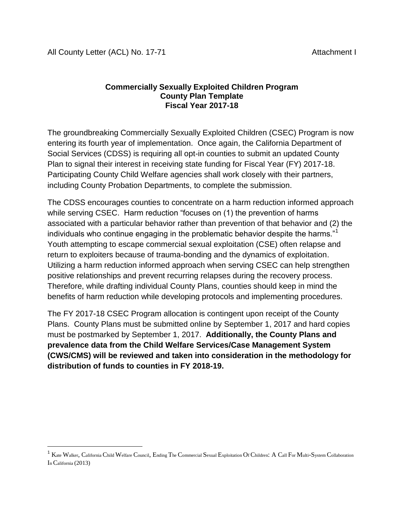$\overline{\phantom{a}}$ 

#### **Commercially Sexually Exploited Children Program County Plan Template Fiscal Year 2017-18**

The groundbreaking Commercially Sexually Exploited Children (CSEC) Program is now entering its fourth year of implementation. Once again, the California Department of Social Services (CDSS) is requiring all opt-in counties to submit an updated County Plan to signal their interest in receiving state funding for Fiscal Year (FY) 2017-18. Participating County Child Welfare agencies shall work closely with their partners, including County Probation Departments, to complete the submission.

The CDSS encourages counties to concentrate on a harm reduction informed approach while serving CSEC. Harm reduction "focuses on (1) the prevention of harms associated with a particular behavior rather than prevention of that behavior and (2) the individuals who continue engaging in the problematic behavior despite the harms."<sup>1</sup> Youth attempting to escape commercial sexual exploitation (CSE) often relapse and return to exploiters because of trauma-bonding and the dynamics of exploitation. Utilizing a harm reduction informed approach when serving CSEC can help strengthen positive relationships and prevent recurring relapses during the recovery process. Therefore, while drafting individual County Plans, counties should keep in mind the benefits of harm reduction while developing protocols and implementing procedures.

The FY 2017-18 CSEC Program allocation is contingent upon receipt of the County Plans. County Plans must be submitted online by September 1, 2017 and hard copies must be postmarked by September 1, 2017. **Additionally, the County Plans and prevalence data from the Child Welfare Services/Case Management System (CWS/CMS) will be reviewed and taken into consideration in the methodology for distribution of funds to counties in FY 2018-19.**

 $^1$  Kate Walker, California Child Welfare Council, Ending The Commercial Sexual Exploitation Of Children: A Call For Multi-System Collaboration In California (2013)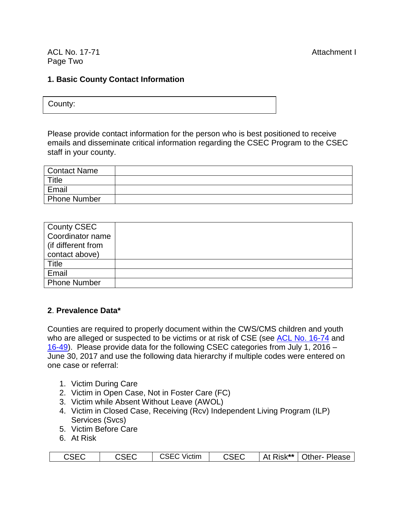ACL No. 17-71 **Attachment I** Page Two

#### **1. Basic County Contact Information**

County:

Please provide contact information for the person who is best positioned to receive emails and disseminate critical information regarding the CSEC Program to the CSEC staff in your county.

| Contact Name |  |
|--------------|--|
| Title        |  |
| Email        |  |
| Phone Number |  |

| County CSEC          |  |
|----------------------|--|
| Coordinator name     |  |
| l (if different from |  |
| contact above)       |  |
| Title                |  |
| Email                |  |
| <b>Phone Number</b>  |  |

#### **2**. **Prevalence Data\***

Counties are required to properly document within the CWS/CMS children and youth who are alleged or suspected to be victims or at risk of CSE (see [ACL No. 16-74](http://www.cdss.ca.gov/lettersnotices/EntRes/getinfo/acl/2016/16-74.pdf) and [16-49\)](http://www.cdss.ca.gov/lettersnotices/EntRes/getinfo/acl/2016/16-49.pdf). Please provide data for the following CSEC categories from July 1, 2016 – June 30, 2017 and use the following data hierarchy if multiple codes were entered on one case or referral:

- 1. Victim During Care
- 2. Victim in Open Case, Not in Foster Care (FC)
- 3. Victim while Absent Without Leave (AWOL)
- 4. Victim in Closed Case, Receiving (Rcv) Independent Living Program (ILP) Services (Svcs)
- 5. Victim Before Care
- 6. At Risk

| <b>CSEC</b><br>CSEC | <b>CSEC Victim</b> | <b>CSEC</b> |  | At Risk**   Other- Please |
|---------------------|--------------------|-------------|--|---------------------------|
|---------------------|--------------------|-------------|--|---------------------------|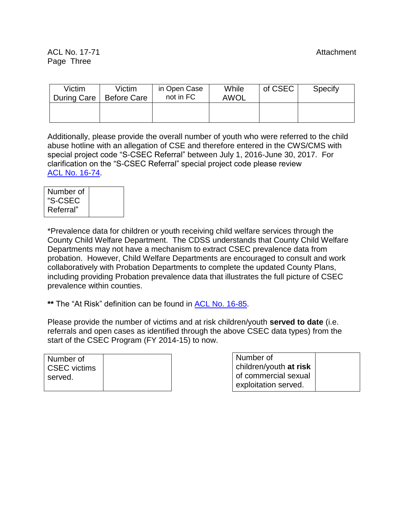#### ACL No. 17-71 **Attachment** Page Three

| Victim<br>During Care | Victim<br><b>Before Care</b> | in Open Case<br>not in FC | While<br>AWOL | of CSEC | Specify |
|-----------------------|------------------------------|---------------------------|---------------|---------|---------|
|                       |                              |                           |               |         |         |

Additionally, please provide the overall number of youth who were referred to the child abuse hotline with an allegation of CSE and therefore entered in the CWS/CMS with special project code "S-CSEC Referral" between July 1, 2016-June 30, 2017. For clarification on the "S-CSEC Referral" special project code please review ACL No. [16-74.](http://www.cdss.ca.gov/lettersnotices/EntRes/getinfo/acl/2016/16-74.pdf)

\*Prevalence data for children or youth receiving child welfare services through the County Child Welfare Department. The CDSS understands that County Child Welfare Departments may not have a mechanism to extract CSEC prevalence data from probation. However, Child Welfare Departments are encouraged to consult and work collaboratively with Probation Departments to complete the updated County Plans, including providing Probation prevalence data that illustrates the full picture of CSEC prevalence within counties.

**\*\*** The "At Risk" definition can be found in [ACL No. 16-85.](http://www.cdss.ca.gov/lettersnotices/EntRes/getinfo/acl/2016/16-85.pdf)

Please provide the number of victims and at risk children/youth **served to date** (i.e. referrals and open cases as identified through the above CSEC data types) from the start of the CSEC Program (FY 2014-15) to now.

| Number of<br><b>CSEC</b> victims |  |
|----------------------------------|--|
| served.                          |  |

| Number of              |
|------------------------|
| children/youth at risk |
| of commercial sexual   |
| exploitation served.   |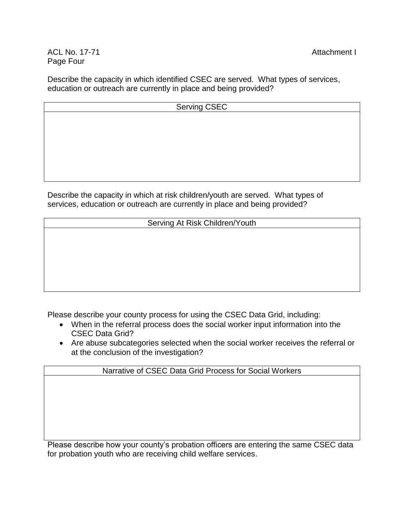ACL No. 17-71 **Attachment I** Page Four

Describe the capacity in which identified CSEC are served. What types of services, education or outreach are currently in place and being provided?

| <b>Serving CSEC</b> |  |  |  |
|---------------------|--|--|--|
|                     |  |  |  |
|                     |  |  |  |
|                     |  |  |  |
|                     |  |  |  |
|                     |  |  |  |
|                     |  |  |  |

Describe the capacity in which at risk children/youth are served. What types of services, education or outreach are currently in place and being provided?

Serving At Risk Children/Youth

Please describe your county process for using the CSEC Data Grid, including:

- When in the referral process does the social worker input information into the CSEC Data Grid?
- Are abuse subcategories selected when the social worker receives the referral or at the conclusion of the investigation?

Narrative of CSEC Data Grid Process for Social Workers

Please describe how your county's probation officers are entering the same CSEC data for probation youth who are receiving child welfare services.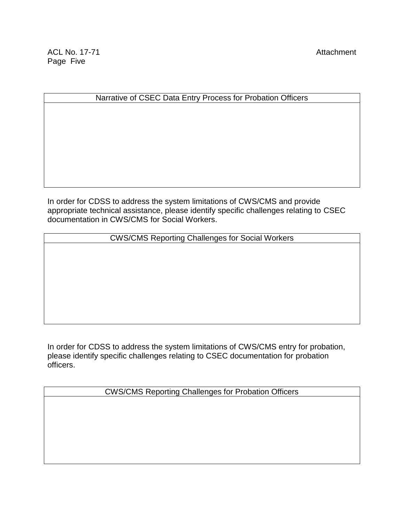#### Narrative of CSEC Data Entry Process for Probation Officers

In order for CDSS to address the system limitations of CWS/CMS and provide appropriate technical assistance, please identify specific challenges relating to CSEC documentation in CWS/CMS for Social Workers.

CWS/CMS Reporting Challenges for Social Workers

In order for CDSS to address the system limitations of CWS/CMS entry for probation, please identify specific challenges relating to CSEC documentation for probation officers.

CWS/CMS Reporting Challenges for Probation Officers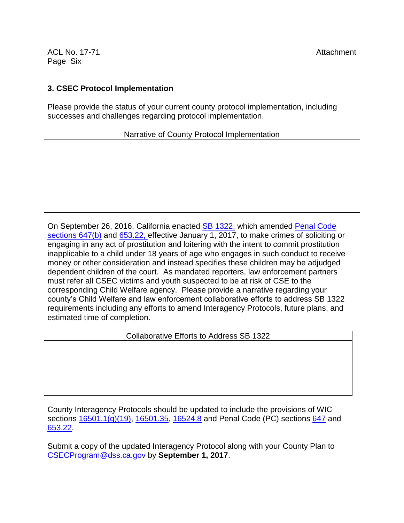ACL No. 17-71 **Attachment** Page Six

#### **3. CSEC Protocol Implementation**

Please provide the status of your current county protocol implementation, including successes and challenges regarding protocol implementation.

Narrative of County Protocol Implementation

On September 26, 2016, California enacted **SB 1322**, which amended Penal Code [sections 647\(b\)](http://leginfo.legislature.ca.gov/faces/codes_displaySection.xhtml?lawCode=PEN§ionNum=647) and [653.22,](http://leginfo.legislature.ca.gov/faces/codes_displaySection.xhtml?lawCode=PEN§ionNum=653.22) effective January 1, 2017, to make crimes of soliciting or engaging in any act of prostitution and loitering with the intent to commit prostitution inapplicable to a child under 18 years of age who engages in such conduct to receive money or other consideration and instead specifies these children may be adjudged dependent children of the court. As mandated reporters, law enforcement partners must refer all CSEC victims and youth suspected to be at risk of CSE to the corresponding Child Welfare agency. Please provide a narrative regarding your county's Child Welfare and law enforcement collaborative efforts to address SB 1322 requirements including any efforts to amend Interagency Protocols, future plans, and estimated time of completion.

Collaborative Efforts to Address SB 1322

County Interagency Protocols should be updated to include the provisions of WIC sections  $16501.1(g)(19)$ , [16501.35,](http://leginfo.legislature.ca.gov/faces/codes_displaySection.xhtml?sectionNum=16501.35.&lawCode=WIC) [16524.8](http://leginfo.legislature.ca.gov/faces/codes_displaySection.xhtml?sectionNum=16524.8.&lawCode=WIC) and Penal Code (PC) sections [647](http://leginfo.legislature.ca.gov/faces/codes_displaySection.xhtml?sectionNum=647.&lawCode=PEN) and [653.22.](http://leginfo.legislature.ca.gov/faces/codes_displaySection.xhtml?sectionNum=653.22.&lawCode=PEN)

Submit a copy of the updated Interagency Protocol along with your County Plan to [CSECProgram@dss.ca.gov](mailto:CSECProgram@dss.ca.gov) by **September 1, 2017**.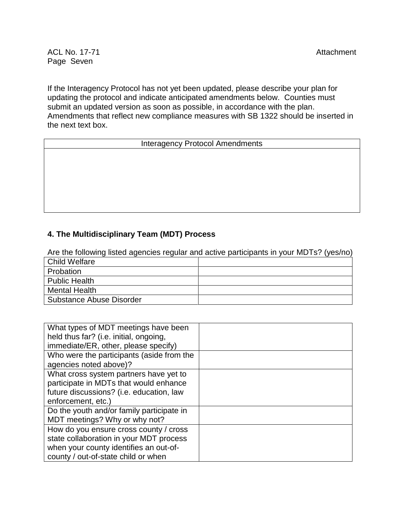#### ACL No. 17-71 **ACL No. 17-71** Attachment Page Seven

If the Interagency Protocol has not yet been updated, please describe your plan for updating the protocol and indicate anticipated amendments below. Counties must submit an updated version as soon as possible, in accordance with the plan. Amendments that reflect new compliance measures with SB 1322 should be inserted in the next text box.

#### Interagency Protocol Amendments

#### **4. The Multidisciplinary Team (MDT) Process**

Are the following listed agencies regular and active participants in your MDTs? (yes/no)

| <b>Child Welfare</b>            |  |
|---------------------------------|--|
| Probation                       |  |
| Public Health                   |  |
| <b>Mental Health</b>            |  |
| <b>Substance Abuse Disorder</b> |  |

| What types of MDT meetings have been      |  |
|-------------------------------------------|--|
| held thus far? (i.e. initial, ongoing,    |  |
| immediate/ER, other, please specify)      |  |
| Who were the participants (aside from the |  |
| agencies noted above)?                    |  |
| What cross system partners have yet to    |  |
| participate in MDTs that would enhance    |  |
| future discussions? (i.e. education, law  |  |
| enforcement, etc.)                        |  |
| Do the youth and/or family participate in |  |
| MDT meetings? Why or why not?             |  |
| How do you ensure cross county / cross    |  |
| state collaboration in your MDT process   |  |
| when your county identifies an out-of-    |  |
| county / out-of-state child or when       |  |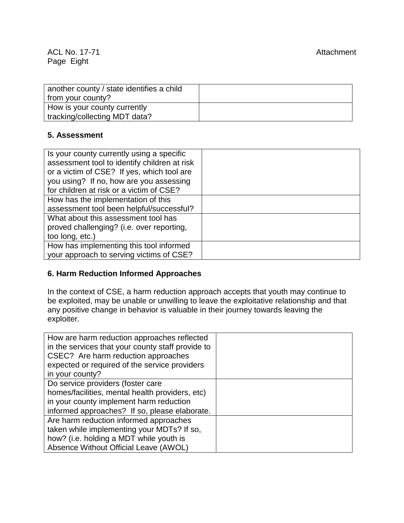| another county / state identifies a child |  |
|-------------------------------------------|--|
| from your county?                         |  |
| How is your county currently              |  |
| tracking/collecting MDT data?             |  |

#### **5. Assessment**

| Is your county currently using a specific    |  |
|----------------------------------------------|--|
| assessment tool to identify children at risk |  |
| or a victim of CSE? If yes, which tool are   |  |
| you using? If no, how are you assessing      |  |
| for children at risk or a victim of CSE?     |  |
| How has the implementation of this           |  |
| assessment tool been helpful/successful?     |  |
| What about this assessment tool has          |  |
| proved challenging? (i.e. over reporting,    |  |
| too long, etc.)                              |  |
| How has implementing this tool informed      |  |
| your approach to serving victims of CSE?     |  |

#### **6. Harm Reduction Informed Approaches**

In the context of CSE, a harm reduction approach accepts that youth may continue to be exploited, may be unable or unwilling to leave the exploitative relationship and that any positive change in behavior is valuable in their journey towards leaving the exploiter.

| How are harm reduction approaches reflected       |  |
|---------------------------------------------------|--|
| in the services that your county staff provide to |  |
| CSEC? Are harm reduction approaches               |  |
| expected or required of the service providers     |  |
| in your county?                                   |  |
| Do service providers (foster care                 |  |
| homes/facilities, mental health providers, etc)   |  |
| in your county implement harm reduction           |  |
| informed approaches? If so, please elaborate.     |  |
| Are harm reduction informed approaches            |  |
| taken while implementing your MDTs? If so,        |  |
| how? (i.e. holding a MDT while youth is           |  |
| Absence Without Official Leave (AWOL)             |  |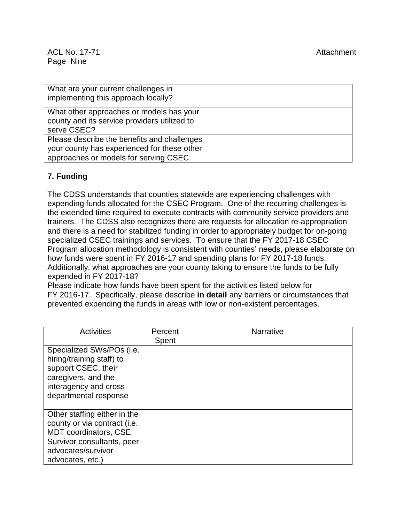| What are your current challenges in          |  |
|----------------------------------------------|--|
| implementing this approach locally?          |  |
| What other approaches or models has your     |  |
| county and its service providers utilized to |  |
| serve CSEC?                                  |  |
| Please describe the benefits and challenges  |  |
| your county has experienced for these other  |  |
| approaches or models for serving CSEC.       |  |

# **7. Funding**

The CDSS understands that counties statewide are experiencing challenges with expending funds allocated for the CSEC Program. One of the recurring challenges is the extended time required to execute contracts with community service providers and trainers. The CDSS also recognizes there are requests for allocation re-appropriation and there is a need for stabilized funding in order to appropriately budget for on-going specialized CSEC trainings and services. To ensure that the FY 2017-18 CSEC Program allocation methodology is consistent with counties' needs, please elaborate on how funds were spent in FY 2016-17 and spending plans for FY 2017-18 funds. Additionally, what approaches are your county taking to ensure the funds to be fully expended in FY 2017-18?

Please indicate how funds have been spent for the activities listed below for FY 2016-17. Specifically, please describe **in detail** any barriers or circumstances that prevented expending the funds in areas with low or non-existent percentages.

| <b>Activities</b>                                                                                                                                                    | Percent<br>Spent | <b>Narrative</b> |
|----------------------------------------------------------------------------------------------------------------------------------------------------------------------|------------------|------------------|
| Specialized SWs/POs (i.e.<br>hiring/training staff) to<br>support CSEC, their<br>caregivers, and the<br>interagency and cross-<br>departmental response              |                  |                  |
| Other staffing either in the<br>county or via contract (i.e.<br><b>MDT</b> coordinators, CSE<br>Survivor consultants, peer<br>advocates/survivor<br>advocates, etc.) |                  |                  |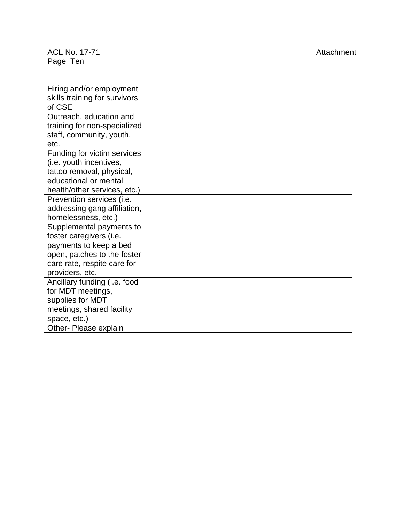#### ACL No. 17 Page Ten

Attachment

| Hiring and/or employment      |  |
|-------------------------------|--|
| skills training for survivors |  |
| of CSE                        |  |
| Outreach, education and       |  |
| training for non-specialized  |  |
| staff, community, youth,      |  |
| etc.                          |  |
| Funding for victim services   |  |
| (i.e. youth incentives,       |  |
| tattoo removal, physical,     |  |
| educational or mental         |  |
| health/other services, etc.)  |  |
| Prevention services (i.e.     |  |
| addressing gang affiliation,  |  |
| homelessness, etc.)           |  |
| Supplemental payments to      |  |
| foster caregivers (i.e.       |  |
| payments to keep a bed        |  |
| open, patches to the foster   |  |
| care rate, respite care for   |  |
| providers, etc.               |  |
| Ancillary funding (i.e. food  |  |
| for MDT meetings,             |  |
| supplies for MDT              |  |
| meetings, shared facility     |  |
| space, etc.)                  |  |
| Other- Please explain         |  |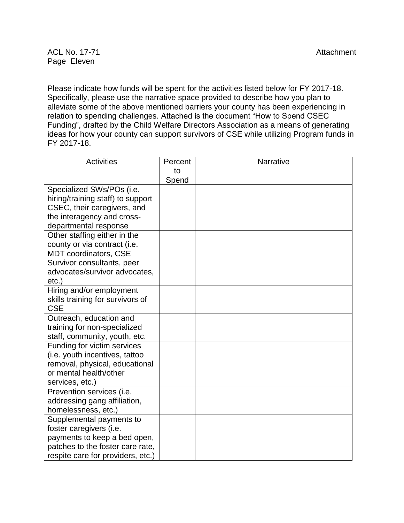Please indicate how funds will be spent for the activities listed below for FY 2017-18. Specifically, please use the narrative space provided to describe how you plan to alleviate some of the above mentioned barriers your county has been experiencing in relation to spending challenges. Attached is the document "How to Spend CSEC Funding", drafted by the Child Welfare Directors Association as a means of generating ideas for how your county can support survivors of CSE while utilizing Program funds in FY 2017-18.

| <b>Activities</b>                 | Percent | Narrative |
|-----------------------------------|---------|-----------|
|                                   | to      |           |
|                                   | Spend   |           |
| Specialized SWs/POs (i.e.         |         |           |
| hiring/training staff) to support |         |           |
| CSEC, their caregivers, and       |         |           |
| the interagency and cross-        |         |           |
| departmental response             |         |           |
| Other staffing either in the      |         |           |
| county or via contract (i.e.      |         |           |
| <b>MDT</b> coordinators, CSE      |         |           |
| Survivor consultants, peer        |         |           |
| advocates/survivor advocates,     |         |           |
| $etc.$ )                          |         |           |
| Hiring and/or employment          |         |           |
| skills training for survivors of  |         |           |
| <b>CSE</b>                        |         |           |
| Outreach, education and           |         |           |
| training for non-specialized      |         |           |
| staff, community, youth, etc.     |         |           |
| Funding for victim services       |         |           |
| (i.e. youth incentives, tattoo    |         |           |
| removal, physical, educational    |         |           |
| or mental health/other            |         |           |
| services, etc.)                   |         |           |
| Prevention services (i.e.         |         |           |
| addressing gang affiliation,      |         |           |
| homelessness, etc.)               |         |           |
| Supplemental payments to          |         |           |
| foster caregivers (i.e.           |         |           |
| payments to keep a bed open,      |         |           |
| patches to the foster care rate,  |         |           |
| respite care for providers, etc.) |         |           |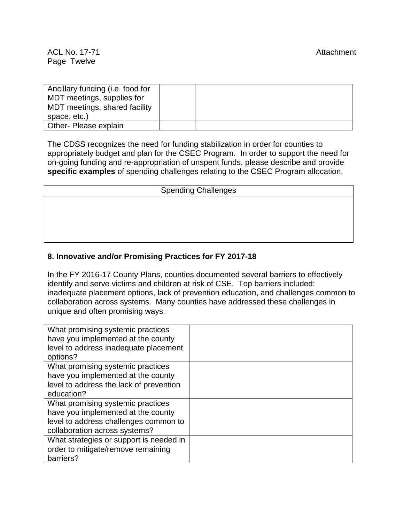| Ancillary funding (i.e. food for |  |
|----------------------------------|--|
| MDT meetings, supplies for       |  |
| MDT meetings, shared facility    |  |
| space, etc.)                     |  |
| Other- Please explain            |  |

The CDSS recognizes the need for funding stabilization in order for counties to appropriately budget and plan for the CSEC Program. In order to support the need for on-going funding and re-appropriation of unspent funds, please describe and provide **specific examples** of spending challenges relating to the CSEC Program allocation.

| <b>Spending Challenges</b> |  |  |  |
|----------------------------|--|--|--|
|                            |  |  |  |
|                            |  |  |  |
|                            |  |  |  |
|                            |  |  |  |

#### **8. Innovative and/or Promising Practices for FY 2017-18**

In the FY 2016-17 County Plans, counties documented several barriers to effectively identify and serve victims and children at risk of CSE. Top barriers included: inadequate placement options, lack of prevention education, and challenges common to collaboration across systems. Many counties have addressed these challenges in unique and often promising ways.

| What promising systemic practices       |  |
|-----------------------------------------|--|
| have you implemented at the county      |  |
| level to address inadequate placement   |  |
| options?                                |  |
| What promising systemic practices       |  |
| have you implemented at the county      |  |
| level to address the lack of prevention |  |
| education?                              |  |
| What promising systemic practices       |  |
| have you implemented at the county      |  |
| level to address challenges common to   |  |
| collaboration across systems?           |  |
| What strategies or support is needed in |  |
| order to mitigate/remove remaining      |  |
| barriers?                               |  |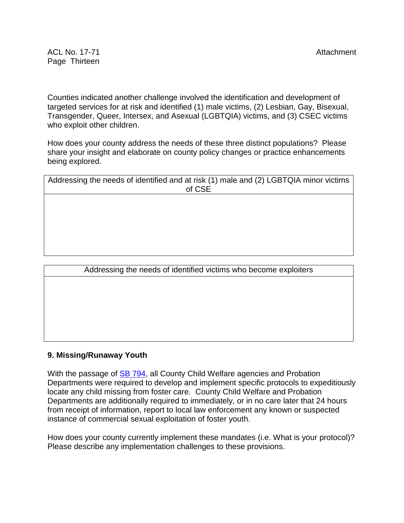Counties indicated another challenge involved the identification and development of targeted services for at risk and identified (1) male victims, (2) Lesbian, Gay, Bisexual, Transgender, Queer, Intersex, and Asexual (LGBTQIA) victims, and (3) CSEC victims who exploit other children.

How does your county address the needs of these three distinct populations? Please share your insight and elaborate on county policy changes or practice enhancements being explored.

| Addressing the needs of identified and at risk (1) male and (2) LGBTQIA minor victims |
|---------------------------------------------------------------------------------------|
| of CSE                                                                                |
|                                                                                       |
|                                                                                       |
|                                                                                       |
|                                                                                       |
|                                                                                       |
|                                                                                       |
|                                                                                       |

| Addressing the needs of identified victims who become exploiters |  |  |  |  |
|------------------------------------------------------------------|--|--|--|--|
|                                                                  |  |  |  |  |
|                                                                  |  |  |  |  |
|                                                                  |  |  |  |  |
|                                                                  |  |  |  |  |
|                                                                  |  |  |  |  |
|                                                                  |  |  |  |  |
|                                                                  |  |  |  |  |

# **9. Missing/Runaway Youth**

With the passage of **SB 794**, all County Child Welfare agencies and Probation Departments were required to develop and implement specific protocols to expeditiously locate any child missing from foster care. County Child Welfare and Probation Departments are additionally required to immediately, or in no care later that 24 hours from receipt of information, report to local law enforcement any known or suspected instance of commercial sexual exploitation of foster youth.

How does your county currently implement these mandates (i.e. What is your protocol)? Please describe any implementation challenges to these provisions.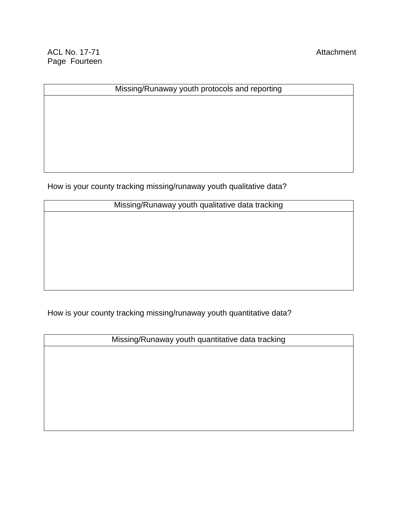ACL No. 17-71 Attachment Page Fourteen

# Missing/Runaway youth protocols and reporting

How is your county tracking missing/runaway youth qualitative data?

| Missing/Runaway youth qualitative data tracking |  |  |
|-------------------------------------------------|--|--|
|                                                 |  |  |

How is your county tracking missing/runaway youth quantitative data?

Missing/Runaway youth quantitative data tracking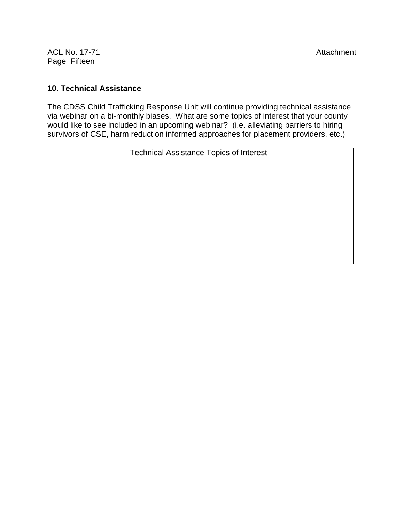ACL No. 17-71 **ACL No. 17-71** Attachment Page Fifteen

#### **10. Technical Assistance**

The CDSS Child Trafficking Response Unit will continue providing technical assistance via webinar on a bi-monthly biases. What are some topics of interest that your county would like to see included in an upcoming webinar? (i.e. alleviating barriers to hiring survivors of CSE, harm reduction informed approaches for placement providers, etc.)

Technical Assistance Topics of Interest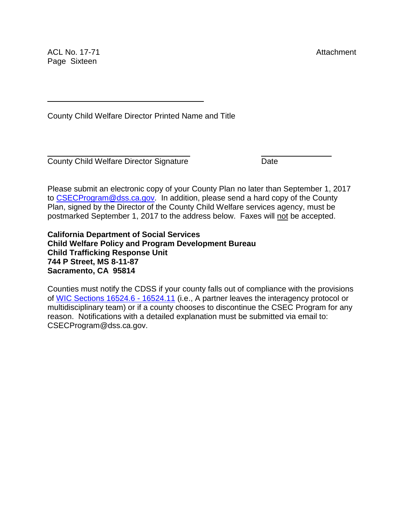ACL No. 17-71 **Attachment** Page Sixteen

County Child Welfare Director Printed Name and Title

\_\_\_\_\_\_\_\_\_\_\_\_\_\_\_\_\_\_\_\_\_\_\_\_\_\_\_ \_\_\_\_\_\_\_\_

County Child Welfare Director Signature Date

Please submit an electronic copy of your County Plan no later than September 1, 2017 to [CSECProgram@dss.ca.gov.](mailto:CSECProgram@dss.ca.gov) In addition, please send a hard copy of the County Plan, signed by the Director of the County Child Welfare services agency, must be postmarked September 1, 2017 to the address below. Faxes will not be accepted.

 $\_$  , and the set of the set of the set of the set of the set of the set of the set of the set of the set of the set of the set of the set of the set of the set of the set of the set of the set of the set of the set of th

**California Department of Social Services Child Welfare Policy and Program Development Bureau Child Trafficking Response Unit 744 P Street, MS 8-11-87 Sacramento, CA 95814**

Counties must notify the CDSS if your county falls out of compliance with the provisions of [WIC Sections 16524.6 -](http://leginfo.legislature.ca.gov/faces/codes_displaySection.xhtml?sectionNum=16524.6.&lawCode=WIC) 16524.11 (i.e., A partner leaves the interagency protocol or multidisciplinary team) or if a county chooses to discontinue the CSEC Program for any reason. Notifications with a detailed explanation must be submitted via email to: CSECProgram@dss.ca.gov.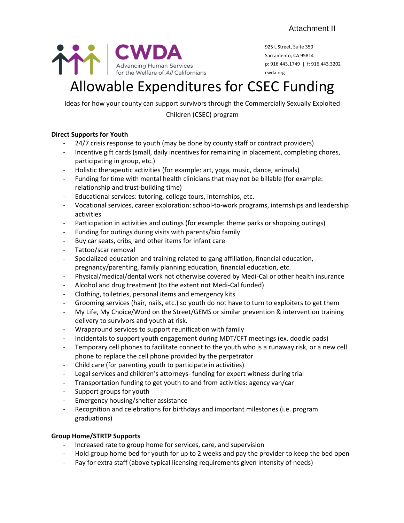

925 L Street, Suite 350 Sacramento, CA 95814 p: 916.443.1749 | f: 916.443.3202 cwda.org

# Allowable Expenditures for CSEC Funding

Ideas for how your county can support survivors through the Commercially Sexually Exploited

Children (CSEC) program

#### **Direct Supports for Youth**

- 24/7 crisis response to youth (may be done by county staff or contract providers)
- Incentive gift cards (small, daily incentives for remaining in placement, completing chores, participating in group, etc.)
- Holistic therapeutic activities (for example: art, yoga, music, dance, animals)
- Funding for time with mental health clinicians that may not be billable (for example: relationship and trust-building time)
- Educational services: tutoring, college tours, internships, etc.
- Vocational services, career exploration: school-to-work programs, internships and leadership activities
- Participation in activities and outings (for example: theme parks or shopping outings)
- Funding for outings during visits with parents/bio family
- Buy car seats, cribs, and other items for infant care
- Tattoo/scar removal
- Specialized education and training related to gang affiliation, financial education, pregnancy/parenting, family planning education, financial education, etc.
- Physical/medical/dental work not otherwise covered by Medi-Cal or other health insurance
- Alcohol and drug treatment (to the extent not Medi-Cal funded)
- Clothing, toiletries, personal items and emergency kits
- Grooming services (hair, nails, etc.) so youth do not have to turn to exploiters to get them
- My Life, My Choice/Word on the Street/GEMS or similar prevention & intervention training delivery to survivors and youth at risk.
- Wraparound services to support reunification with family
- Incidentals to support youth engagement during MDT/CFT meetings (ex. doodle pads)
- Temporary cell phones to facilitate connect to the youth who is a runaway risk, or a new cell phone to replace the cell phone provided by the perpetrator
- Child care (for parenting youth to participate in activities)
- Legal services and children's attorneys- funding for expert witness during trial
- Transportation funding to get youth to and from activities: agency van/car
- Support groups for youth
- Emergency housing/shelter assistance
- Recognition and celebrations for birthdays and important milestones (i.e. program graduations)

# **Group Home/STRTP Supports**

- Increased rate to group home for services, care, and supervision
	- Hold group home bed for youth for up to 2 weeks and pay the provider to keep the bed open
- Pay for extra staff (above typical licensing requirements given intensity of needs)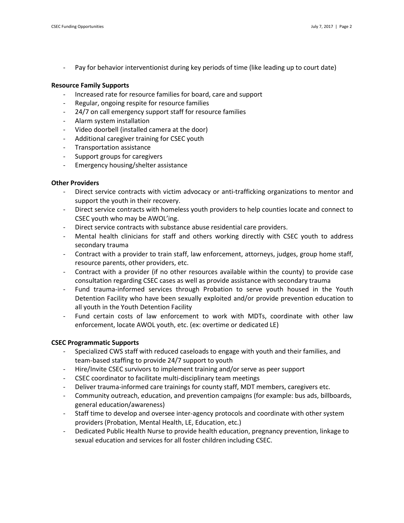Pay for behavior interventionist during key periods of time (like leading up to court date)

#### **Resource Family Supports**

- Increased rate for resource families for board, care and support
- Regular, ongoing respite for resource families
- 24/7 on call emergency support staff for resource families
- Alarm system installation
- Video doorbell (installed camera at the door)
- Additional caregiver training for CSEC youth
- Transportation assistance
- Support groups for caregivers
- Emergency housing/shelter assistance

#### **Other Providers**

- Direct service contracts with victim advocacy or anti-trafficking organizations to mentor and support the youth in their recovery.
- Direct service contracts with homeless youth providers to help counties locate and connect to CSEC youth who may be AWOL'ing.
- Direct service contracts with substance abuse residential care providers.
- Mental health clinicians for staff and others working directly with CSEC youth to address secondary trauma
- Contract with a provider to train staff, law enforcement, attorneys, judges, group home staff, resource parents, other providers, etc.
- Contract with a provider (if no other resources available within the county) to provide case consultation regarding CSEC cases as well as provide assistance with secondary trauma
- Fund trauma-informed services through Probation to serve youth housed in the Youth Detention Facility who have been sexually exploited and/or provide prevention education to all youth in the Youth Detention Facility
- Fund certain costs of law enforcement to work with MDTs, coordinate with other law enforcement, locate AWOL youth, etc. (ex: overtime or dedicated LE)

#### **CSEC Programmatic Supports**

- Specialized CWS staff with reduced caseloads to engage with youth and their families, and team-based staffing to provide 24/7 support to youth
- Hire/Invite CSEC survivors to implement training and/or serve as peer support
- CSEC coordinator to facilitate multi-disciplinary team meetings
- Deliver trauma-informed care trainings for county staff, MDT members, caregivers etc.
- Community outreach, education, and prevention campaigns (for example: bus ads, billboards, general education/awareness)
- Staff time to develop and oversee inter-agency protocols and coordinate with other system providers (Probation, Mental Health, LE, Education, etc.)
- Dedicated Public Health Nurse to provide health education, pregnancy prevention, linkage to sexual education and services for all foster children including CSEC.